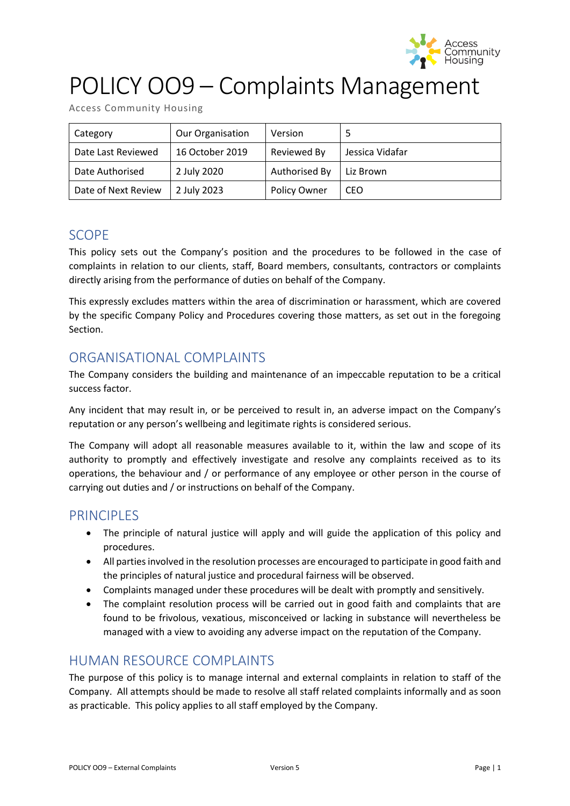

# POLICY OO9 – Complaints Management

| Category            | <b>Our Organisation</b> | Version       |                 |
|---------------------|-------------------------|---------------|-----------------|
| Date Last Reviewed  | 16 October 2019         | Reviewed By   | Jessica Vidafar |
| Date Authorised     | 2 July 2020             | Authorised By | Liz Brown       |
| Date of Next Review | 2 July 2023             | Policy Owner  | CEO             |

## SCOPE

This policy sets out the Company's position and the procedures to be followed in the case of complaints in relation to our clients, staff, Board members, consultants, contractors or complaints directly arising from the performance of duties on behalf of the Company.

This expressly excludes matters within the area of discrimination or harassment, which are covered by the specific Company Policy and Procedures covering those matters, as set out in the foregoing Section.

## ORGANISATIONAL COMPLAINTS

The Company considers the building and maintenance of an impeccable reputation to be a critical success factor.

Any incident that may result in, or be perceived to result in, an adverse impact on the Company's reputation or any person's wellbeing and legitimate rights is considered serious.

The Company will adopt all reasonable measures available to it, within the law and scope of its authority to promptly and effectively investigate and resolve any complaints received as to its operations, the behaviour and / or performance of any employee or other person in the course of carrying out duties and / or instructions on behalf of the Company.

## PRINCIPLES

- The principle of natural justice will apply and will guide the application of this policy and procedures.
- All parties involved in the resolution processes are encouraged to participate in good faith and the principles of natural justice and procedural fairness will be observed.
- Complaints managed under these procedures will be dealt with promptly and sensitively.
- The complaint resolution process will be carried out in good faith and complaints that are found to be frivolous, vexatious, misconceived or lacking in substance will nevertheless be managed with a view to avoiding any adverse impact on the reputation of the Company.

## HUMAN RESOURCE COMPLAINTS

The purpose of this policy is to manage internal and external complaints in relation to staff of the Company. All attempts should be made to resolve all staff related complaints informally and as soon as practicable. This policy applies to all staff employed by the Company.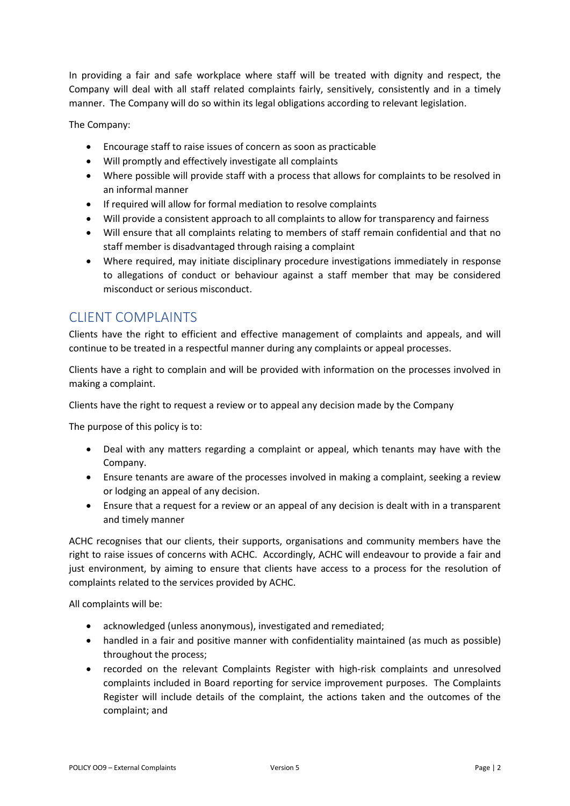In providing a fair and safe workplace where staff will be treated with dignity and respect, the Company will deal with all staff related complaints fairly, sensitively, consistently and in a timely manner. The Company will do so within its legal obligations according to relevant legislation.

The Company:

- Encourage staff to raise issues of concern as soon as practicable
- Will promptly and effectively investigate all complaints
- Where possible will provide staff with a process that allows for complaints to be resolved in an informal manner
- If required will allow for formal mediation to resolve complaints
- Will provide a consistent approach to all complaints to allow for transparency and fairness
- Will ensure that all complaints relating to members of staff remain confidential and that no staff member is disadvantaged through raising a complaint
- Where required, may initiate disciplinary procedure investigations immediately in response to allegations of conduct or behaviour against a staff member that may be considered misconduct or serious misconduct.

## CLIENT COMPLAINTS

Clients have the right to efficient and effective management of complaints and appeals, and will continue to be treated in a respectful manner during any complaints or appeal processes.

Clients have a right to complain and will be provided with information on the processes involved in making a complaint.

Clients have the right to request a review or to appeal any decision made by the Company

The purpose of this policy is to:

- Deal with any matters regarding a complaint or appeal, which tenants may have with the Company.
- Ensure tenants are aware of the processes involved in making a complaint, seeking a review or lodging an appeal of any decision.
- Ensure that a request for a review or an appeal of any decision is dealt with in a transparent and timely manner

ACHC recognises that our clients, their supports, organisations and community members have the right to raise issues of concerns with ACHC. Accordingly, ACHC will endeavour to provide a fair and just environment, by aiming to ensure that clients have access to a process for the resolution of complaints related to the services provided by ACHC.

All complaints will be:

- acknowledged (unless anonymous), investigated and remediated;
- handled in a fair and positive manner with confidentiality maintained (as much as possible) throughout the process;
- recorded on the relevant Complaints Register with high-risk complaints and unresolved complaints included in Board reporting for service improvement purposes. The Complaints Register will include details of the complaint, the actions taken and the outcomes of the complaint; and